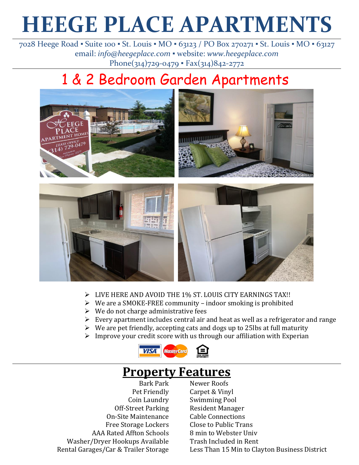# **HEEGE PLACE APARTMENTS**

7028 Heege Road ▪ Suite 100 ▪ St. Louis ▪ MO ▪ 63123 / PO Box 270271 ▪ St. Louis ▪ MO ▪ 63127 email: *info@heegeplace.com* ▪ website: *www.heegeplace.com* Phone(314)729-0479 • Fax(314)842-2772

# 1 & 2 Bedroom Garden Apartments



- ➢ LIVE HERE AND AVOID THE 1% ST. LOUIS CITY EARNINGS TAX!!
- ➢ We are a SMOKE-FREE community indoor smoking is prohibited
- $\triangleright$  We do not charge administrative fees
- ➢ Every apartment includes central air and heat as well as a refrigerator and range
- $\triangleright$  We are pet friendly, accepting cats and dogs up to 25 lbs at full maturity
- $\triangleright$  Improve your credit score with us through our affiliation with Experian



## **Property Features**

Bark Park Pet Friendly Coin Laundry Off-Street Parking On-Site Maintenance Free Storage Lockers AAA Rated Affton Schools Washer/Dryer Hookups Available Rental Garages/Car & Trailer Storage

Newer Roofs Carpet & Vinyl Swimming Pool Resident Manager Cable Connections Close to Public Trans 8 min to Webster Univ Trash Included in Rent Less Than 15 Min to Clayton Business District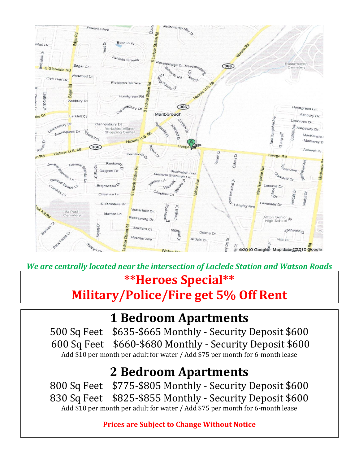

*We are centrally located near the intersection of Laclede Station and Watson Roads*

## **\*\*Heroes Special\*\***

# **Military/Police/Fire get 5% Off Rent**

# **1 Bedroom Apartments**

500 Sq Feet \$635-\$665 Monthly - Security Deposit \$600 600 Sq Feet \$660-\$680 Monthly - Security Deposit \$600 Add \$10 per month per adult for water / Add \$75 per month for 6-month lease

# **2 Bedroom Apartments**

800 Sq Feet \$775-\$805 Monthly - Security Deposit \$600 830 Sq Feet \$825-\$855 Monthly - Security Deposit \$600 Add \$10 per month per adult for water / Add \$75 per month for 6-month lease

**Prices are Subject to Change Without Notice**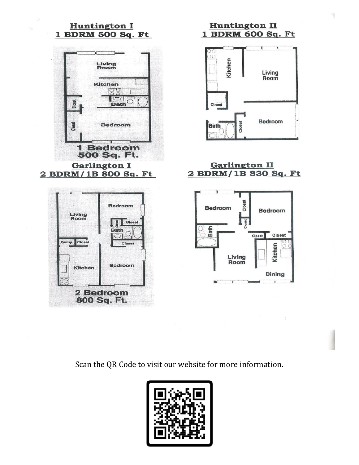

**Huntington II** 1 BDRM 600 Sq. Ft



**Garlington II** 2 BDRM/1B 830 Sq. Ft



Scan the QR Code to visit our website for more information.